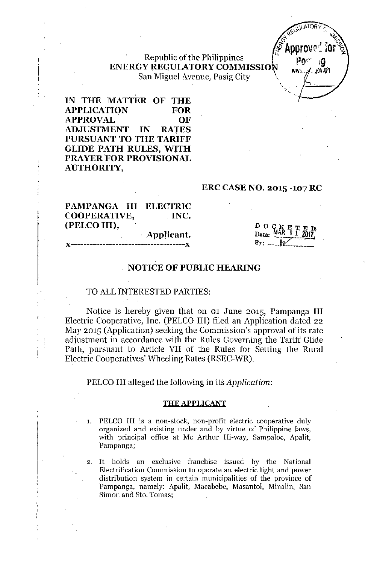### Republic of the Philippines ENERGY REGULATORY COMMISSION San Miguel Avenue, Pasig City \



IN THE MATTER OF THE APPLICATION FOR APPROVAL OF ADJUSTMENT IN RATES PURSUANT TO THE TARIFF GLIDE PATH RULES, WITH PRAYER FOR PROVISIONAL AUTHORITY,

#### ERC CASENO. 2015 -107 RC

| PAMPANGA III ELECTRIC |            |
|-----------------------|------------|
| COOPERATIVE,          | . INC.     |
| (PELCO III),          |            |
|                       | Applicant. |

# *)(------------------------------------J(*

 $\mathbf{p}$  o  $\mathbf{q}$   $\mathbf{g}$   $\mathbf{e}$   $\mathbf{r}$  $\text{Data:}$   $\text{MAX}$  0 1 2017  $\cdot$  MAR 0 1 2017  $\mathbf{B}_{\overline{v}}$ : *W* 

### NOTICE OF PUBLIC HEARING

#### TO ALL INTERESTED PARTIES:

Notice is hereby given that on 01 June 2015, Pampanga III Electric Cooperative, Inc. (PELCO III) filed an Application dated 22 May 2015 (Application) seeking the Commission's approval of its rate adjustment in accordance with the Rules Governing the Tariff Glide Path, pursuant to Article VII of the Rules for Setting the Rural Electric Cooperatives' Wheeling Rates (RSEC-WR).

PELCO III alleged the following in its *Application:*

#### THE APPLICANT

- 1. PELCO **III** is a non-stock, non-profit electric cooperative duly organized and existing under and by virtue of Philippine laws, with principal office at Mc Arthur Hi-way, Sampaloc, Apalit, Pampanga;
- 2. It holds an exclusive franchise issued by the National Electrification Commission to operate an electric light and power distribution system in certain municipalities of the province of Pampanga, namely: Apalit, Macabebe, Masantol, Minalin, San Simon and Sto. Tomas;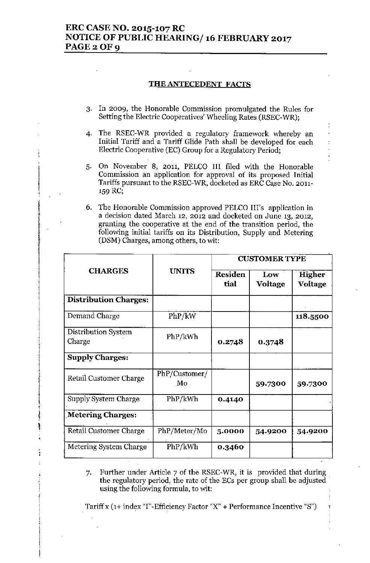#### THE ANTECEDENT **FACTS**

- **3. In 2009, the Honorable Commission promulgated the Rules for** Setting the Electric Cooperatives' Wheeling Rates (RSEC-WR);
- 4. The RSEC-WR provided a regulatory framework whereby an Initial Tariff and a Tariff Glide Path shall be developed for each Electric Cooperative (EC) Group for a Regulatory Period;
- 5. On November 8, 2011, PELCO III filed with the Honorable **Commission an application for approval of its proposed Initial** Tariffs pursuant to the RSEC-WR, docketed as ERC Case No. 2011- '59 RC;
- 6. The Honorable Commission approved PELCO Ill's application in **a decision dated March 12, 2012 and docketed on June 13, 2012, granting the cooperative at the end of the transition period, the follmving initial tariffs on its Distribution, Supply and Metering** (DSM) Charges, among others, to wit:

|                               |                     | <b>CUSTOMER TYPE</b>   |                |                   |
|-------------------------------|---------------------|------------------------|----------------|-------------------|
| <b>CHARGES</b>                | <b>UNITS</b>        | <b>Residen</b><br>tial | Low<br>Voltage | Higher<br>Voltage |
| <b>Distribution Charges:</b>  |                     |                        |                |                   |
| Demand Charge                 | PhP/kW              |                        |                | 118.5500          |
| Distribution System<br>Charge | PhP/kWh             | 0.2748                 | 0.3748         |                   |
| <b>Supply Charges:</b>        |                     |                        |                |                   |
| Retail Customer Charge        | PhP/Customer/<br>Mo |                        | 59.7300        | 59.7300           |
| Supply System Charge          | PhP/kWh             | 0.4140                 |                |                   |
| <b>Metering Charges:</b>      |                     |                        |                |                   |
| <b>Retail Customer Charge</b> | PhP/Meter/Mo        | 5.0000                 | 54.9200        | 54.9200           |
| Metering System Charge        | PhP/kWh             | 0.3460                 |                |                   |

່ເ I<br>I<br>I<br>I  $\begin{bmatrix} 0 & 0 & 0 \\ 0 & 0 & 0 \\ 0 & 0 & 0 \\ 0 & 0 & 0 \\ 0 & 0 & 0 \\ 0 & 0 & 0 \\ 0 & 0 & 0 \\ 0 & 0 & 0 \\ 0 & 0 & 0 & 0 \\ 0 & 0 & 0 & 0 \\ 0 & 0 & 0 & 0 \\ 0 & 0 & 0 & 0 \\ 0 & 0 & 0 & 0 & 0 \\ 0 & 0 & 0 & 0 & 0 \\ 0 & 0 & 0 & 0 & 0 \\ 0 & 0 & 0 & 0 & 0 & 0 \\ 0 & 0 & 0 & 0 & 0 & 0 \\ 0 & 0 & 0 & 0 &$ 

!  $\frac{1}{1}$  $\dagger$ I I [

7. Further under Article 7 of the RSEC-WR. it is provided that during the regulatory period, the rate of the ECs per group shall be adjusted . using the following formula, to wit:

Tariff x (1+ index "I"-Efficiency Factor "X" + Performance Incentive "S")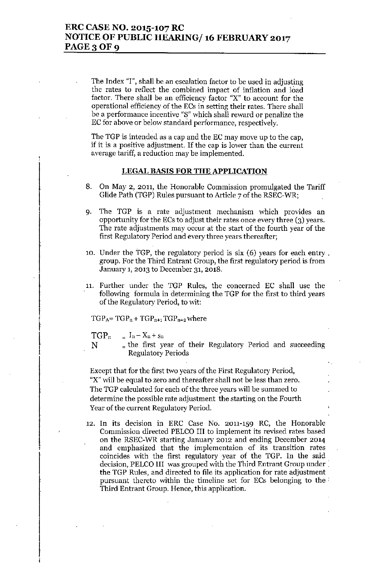The Index "I", shall be an escalation factor to be used in adjusting the rates to reflect the combined impact of inflation and load factor. There shall be an efficiency factor "X" to account for the operational efficiency of the ECs in setting their rates. There shall he a performance incentive "8" which shall reward or penalize the EC for above or below standard performance, respectively.

The TGP is intended as a cap and the EC may move up to the cap, if it is a positive adjustment. If the cap is lower than the current average tariff, a reduction may be implemented.

#### LEGAL BASIS FOR THE APPLICATION

- 8. On May 2, 2011, the Honorable Commission promulgated the Tariff Glide Path (TGP) Rules pursuant to Article 7 of the RSEC-WR;
- 9. The TGP is a rate adjustment mechanism which provides an opportunity for the ECs to adjust their rates once every three (3) years. The rate adjustments may occur at the start of the fourth year of the first Regulatory Period and every three years thereafter;
- 10. Under the TGP, the regulatory period is six (6) years for each entry . group. For the Third Entrant Group, the first regulatory period is from January 1,2013 to December 31,2018.
- 11. Further under the TGP Rules, the concerned EC shall use the following formula in determining the TGP for the first to third years of the Regulatory Period, to wit:

 $TGP_A = TGP_n + TGP_{n+1} TGP_{n+2}$  where

 $TGP_n$  $I_n - X_n + s_n$ 

f

f

N  $_$  the first year of their Regulatory Period and succeeding Regulatory Periods

Except that for the first two years of the First Regulatory Period, "X" will be equal to zero and thereafter shall not be less than zero. The TGP calculated for each of the three years will be summed to determine the possible rate adjustment the starting on the Fourth Year of the current Regulatory Period.

12. In its decision in ERC Case No. 2011-159 RC, the Honorable Commission directed PELCO III to implement its revised rates based on the RSEC-WR starting January 2012 and ending December 2014 and emphasized that the implementaion of its transition rates coincides with the first regulatory year of the TGP. In the said decision, PELCO III was grouped with the Third Entrant Group under. the TGP Rules, and directed to file its application for rate adjustment pursuant thereto within the timeline set for ECs belonging to the. Third Entrant Group. Hence, this application.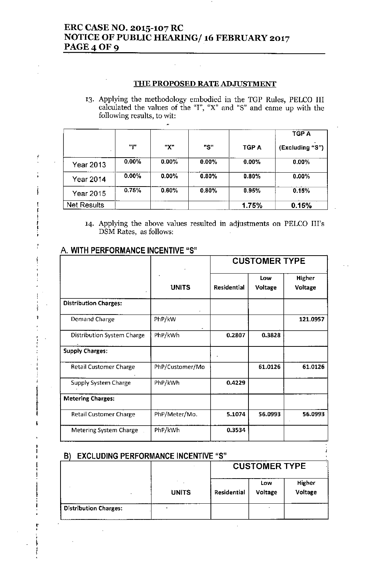### ERC CASE NO. 2015-107 RC NOTICE OF PUBLIC HEARING/16 FEBRUARY 2017 **PAGE 4 OF 9**

### THE PROPOSED RATE ADJUSTMENT

'3. Applying the methodology embodied in the TGP Rules, PELCO III calculated the values of the "I", "X" and "8" and came up with the following results, to wit:

|                  |       |          |          |              | TGP A           |
|------------------|-------|----------|----------|--------------|-----------------|
|                  | "ו"   | "Х"      | "S"      | <b>TGP A</b> | (Excluding "S") |
| <b>Year 2013</b> | 0.00% | $0.00\%$ | $0.00\%$ | $0.00\%$     | $0.00\%$        |
| <b>Year 2014</b> | 0.00% | $0.00\%$ | $0.80\%$ | $0.80\%$     | $0.00\%$        |
| Year 2015        | 0.75% | 0.60%    | 0.80%    | 0.95%        | 0.15%           |
| Net Results      |       |          |          | 1.75%        | 0.15%           |

'4. Applying the above values resulted in adjustments on PELCO Ill's D8M Rates, as follows:

### A. WITH PERFORMANCE INCENTIVE "S"

, 1<br>**ք** ! !<br>! !<br>!<br>!

ł

;<br>; t

]<br>I<br>I I I ,

, f !<br>}

I

•• , ,  $\ddot{\ }$ !<br>!<br>!

|                                   |                 | <b>CUSTOMER TYPE</b> |                |                   |
|-----------------------------------|-----------------|----------------------|----------------|-------------------|
|                                   | <b>UNITS</b>    | Residential          | Low<br>Voltage | Higher<br>Voltage |
| <b>Distribution Charges:</b>      |                 |                      |                |                   |
| Demand Charge                     | PhP/kW          |                      |                | 121.0957          |
| <b>Distribution System Charge</b> | PhP/kWh         | 0.2807               | 0.3828         |                   |
| <b>Supply Charges:</b>            |                 |                      |                |                   |
| <b>Retail Customer Charge</b>     | PhP/Customer/Mo |                      | 61.0126        | 61.0126           |
| <b>Supply System Charge</b>       | PhP/kWh         | 0.4229               |                |                   |
| <b>Metering Charges:</b>          |                 |                      |                |                   |
| <b>Retail Customer Charge</b>     | PhP/Meter/Mo.   | 5.1074               | 56.0993        | 56.0993           |
| Metering System Charge            | PhP/kWh         | 0.3534               |                |                   |

#### B) EXCLUDING PERFORMANCE INCENTIVE "S"

|                              |              |                    | <b>CUSTOMER TYPE</b> |                   |  |
|------------------------------|--------------|--------------------|----------------------|-------------------|--|
|                              | <b>UNITS</b> | <b>Residential</b> | Low<br>Voltage       | Higher<br>Voltage |  |
| <b>Distribution Charges:</b> | $\sim$       |                    |                      |                   |  |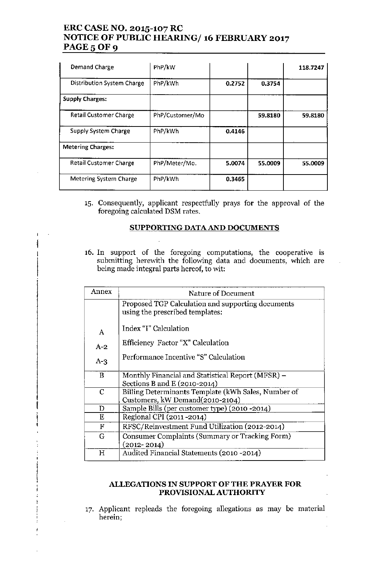### ERC CASE NO. 2015-107 RC NOTICE OF PUBLIC HEARING/ 16 FEBRUARY 2017 PAGE 5 OF 9

| Demand Charge                     | PhP/kW          |        |         | 118.7247 |
|-----------------------------------|-----------------|--------|---------|----------|
| <b>Distribution System Charge</b> | PhP/kWh         | 0.2752 | 0.3754  |          |
| <b>Supply Charges:</b>            |                 |        |         |          |
| <b>Retail Customer Charge</b>     | PhP/Customer/Mo |        | 59.8180 | 59.8180  |
| Supply System Charge              | PhP/kWh         | 0.4146 |         |          |
| <b>Metering Charges:</b>          |                 |        |         |          |
| <b>Retail Customer Charge</b>     | PhP/Meter/Mo.   | 5.0074 | 55.0009 | 55.0009  |
| Metering System Charge            | PhP/kWh         | 0.3465 |         |          |

'5. Consequently, applicant respectfully prays for the approval of the foregoing calculated DSM rates,

### SUPPORTING DATA AND DOCUMENTS

16. **In** support of the foregoing computations, the cooperative is submitting herewith the following data and documents, which are being made integral parts hereof, to wit:

I<br>T

f i<br>!<br>P  $\mathbf{f}$ 

| Annex        | Nature of Document                                  |
|--------------|-----------------------------------------------------|
|              | Proposed TGP Calculation and supporting documents   |
|              | using the prescribed templates:                     |
| $\mathbf{A}$ | Index "I" Calculation                               |
|              |                                                     |
| $A-2$        | Efficiency Factor "X" Calculation                   |
| $A-3$        | Performance Incentive "S" Calculation               |
|              |                                                     |
| B            | Monthly Financial and Statistical Report (MFSR) -   |
|              | Sections B and E (2010-2014)                        |
| $\mathbf C$  | Billing Determinants Template (kWh Sales, Number of |
|              | Customers, kW Demand(2010-2104)                     |
| D            | Sample Bills (per customer type) (2010 - 2014)      |
| Ε            | Regional CPI (2011-2014)                            |
| F            | RFSC/Reinvestment Fund Utilization (2012-2014)      |
| G            | Consumer Complaints (Summary or Tracking Form)      |
|              | $(2012 - 2014)$                                     |
| Н            | Audited Financial Statements (2010 -2014)           |

### ALLEGATIONS IN SUPPORT OF THE PRAYER FOR PROVISIONAL AUTHORITY

17. Applicant repleads the foregoing allegations as may be material herein;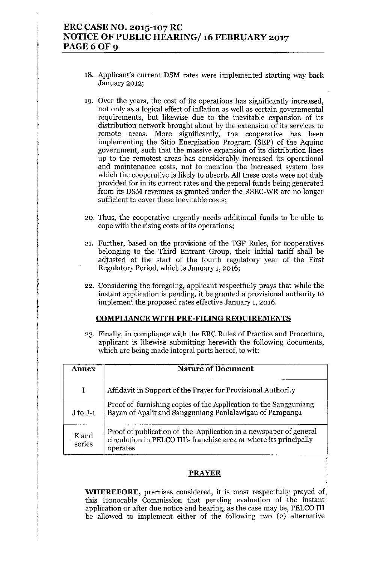### ERC CASE NO. 2015-107 RC NOTICE OF PUBLIC HEARING/ 16 FEBRUARY 2017 PAGE 6 OF 9

- 18. Applicant's current DSM rates were implemented starting way back January 2012;
- 19. Over the years, the cost of its operations has significantly increased, not only as a logical effect of inflation as well as certain governmental requirements, but likewise due to the inevitable expansion of its distribution network brought about by the extension of its services to remote areas. More significantly, the cooperative has been implementing the Sitio Energization Program (SEP) of the Aquino government, such that the massive expansion of its distribution lines up to the remotest areas has considerably increased its operational and maintenance costs, not to mention the increased system loss which the cooperative is likely to absorb. All these costs were not duly provided for in its current rates and the general funds being generated from its DSM revenues as granted under the RSEC-WR are no longer sufficient to cover these inevitable costs;
- 20. Thus, the cooperative urgently needs additional funds to be able to cope with the rising costs of its operations;
- 21. Further, based on the provisions of the TGP Rules, for cooperatives belonging to the Third Entrant Group, their initial tariff shall be adjusted at the start of the fourth regulatory year of the First Regulatory Period, which is January 1, 2016;
- 22. Considering the foregoing, applicant respectfully prays that while the instant application is pending, it be granted a provisional authority to implement the proposed rates effective January 1, 2016.

### COMPLIANCE WITH PRE-FILING REOUIREMENTS

I

!!<br>!<br>!

!<br>!<br>! I I

|<br>|<br>|<br>|

I l<br>! I

I

23. Finally, in compliance \vith the ERC Rules of Practice and Procedure, applicant is likewise submitting herewith the following documents, which are being made integral parts hereof, to wit:

| <b>Annex</b>    | <b>Nature of Document</b>                                                                                                                           |
|-----------------|-----------------------------------------------------------------------------------------------------------------------------------------------------|
|                 | Affidavit in Support of the Prayer for Provisional Authority                                                                                        |
| $J$ to $J-1$    | Proof of furnishing copies of the Application to the Sangguniang<br>Bayan of Apalit and Sangguniang Panlalawigan of Pampanga                        |
| K and<br>series | Proof of publication of the Application in a newspaper of general<br>circulation in PELCO III's franchise area or where its principally<br>operates |

### PRAYER

**WHEREFORE,** premises considered, it is most respectfully prayed of, this Honorable Commission that pending evaluation of the instant. application or after due notice and hearing, as the case may be, PELCO III be allowed to implement either of the following two (2) alternative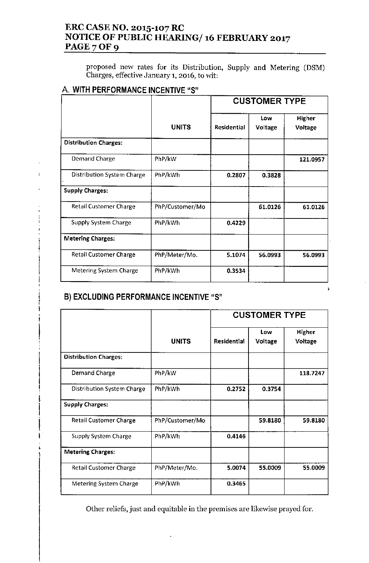### ERC CASE NO. 2015-107 RC NOTICE OF PUBLIC HEARING/ 16 FEBRUARY 2017 PAGE 7 OF 9

proposed new rates for its Distribution, Supply and Metering (DSM) Charges, effective January **1,2016,** to wit:

### A. WITH PERFORMANCE INCENTIVE "S"

|                               |                 | <b>CUSTOMER TYPE</b> |                |                   |
|-------------------------------|-----------------|----------------------|----------------|-------------------|
|                               | <b>UNITS</b>    | <b>Residential</b>   | Low<br>Voltage | Higher<br>Voltage |
| <b>Distribution Charges:</b>  |                 |                      |                |                   |
| Demand Charge                 | PhP/kW          |                      |                | 121.0957          |
| Distribution System Charge    | PhP/kWh         | 0.2807               | 0.3828         |                   |
| <b>Supply Charges:</b>        |                 |                      |                |                   |
| <b>Retail Customer Charge</b> | PhP/Customer/Mo |                      | 61.0126        | 61.0126           |
| <b>Supply System Charge</b>   | PhP/kWh         | 0.4229               |                |                   |
| <b>Metering Charges:</b>      |                 |                      |                |                   |
| <b>Retail Customer Charge</b> | PhP/Meter/Mo.   | 5.1074               | 56.0993        | 56.0993           |
| <b>Metering System Charge</b> | PhP/kWh         | 0.3534               |                |                   |

÷

## B) EXCLUDING PERFORMANCE INCENTIVE "S"

j

 $\overline{a}$ 

I

I

I

t !<br>|}

|                                   |                 | <b>CUSTOMER TYPE</b> |         |                |
|-----------------------------------|-----------------|----------------------|---------|----------------|
|                                   |                 |                      | Low     | Higher         |
|                                   | <b>UNITS</b>    | <b>Residential</b>   | Voltage | <b>Voltage</b> |
| <b>Distribution Charges:</b>      |                 |                      |         |                |
| Demand Charge                     | PhP/kW          |                      |         | 118.7247       |
| <b>Distribution System Charge</b> | PhP/kWh         | 0.2752               | 0.3754  |                |
| <b>Supply Charges:</b>            |                 |                      |         |                |
| <b>Retail Customer Charge</b>     | PhP/Customer/Mo |                      | 59.8180 | 59.8180        |
| Supply System Charge              | PhP/kWh         | 0.4146               |         |                |
| <b>Metering Charges:</b>          |                 |                      |         |                |
| <b>Retail Customer Charge</b>     | PhP/Meter/Mo.   | 5.0074               | 55.0009 | 55.0009        |
| <b>Metering System Charge</b>     | PhP/kWh         | 0.3465               |         |                |

Other reliefs, just and equitable in the premises are likewise prayed for.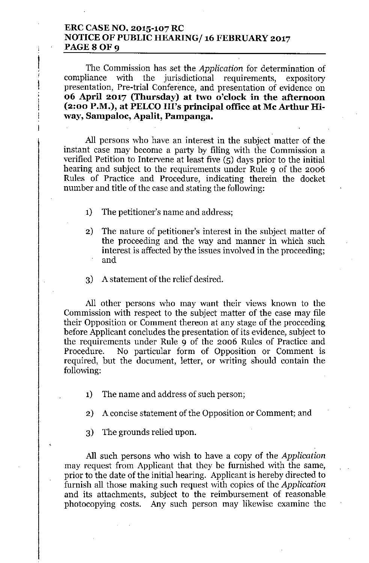### **ERC CASE NO. 2015-107 RC NOTICE OF PUBLIC HEARING/ 16 FEBRUARY 2017** PAGE 8 OF 9

 $\frac{1}{2}$ 

!<br>!<br>!

The Commission has set the *Application* for determination of compliance with the jurisdictional requirements, expository presentation, Pre-trial Conference, and presentation of evidence on **06 April 2017 (Thursday) at two o'clock in the afternoon (2:00 P.M.), at PELCO Ill's principal office at Mc Arthur Hiway, Sampaloc, Apalit, Pampanga.**

All persons who have an interest in the subject matter of the instant case may become a party by filing with the Commission a verified Petition to Intervene at least five (5) days prior to the initial hearing and subject to the requirements under Rule 9 of the 2006 Rules of Practice and Procedure, indicating therein the docket number and title of the case and stating the following:

1) The petitioner's name and address;

- 2) The nature of petitioner's interest in the subject matter of the proceeding and the way and manner in which such interest is affected by the issues involved in the proceeding; and
- 3) A statement of the relief desired.

All other persons who may want their views known to the Commission with respect to the subject matter of the case may file their Opposition or Comment thereon at any stage of the proceeding before Applicant concludes the presentation of its evidence, subject to the requirements under Rule 9 of the 2006 Rules of Practice and Procedure. No particular form of Opposition or Comment is required, but the document, letter, or writing should contain the following:

- 1) The name and address of such person;
- 2) A concise statement of the Opposition or Comment; and
- 3) The grounds relied upon.

All such persons who wish to have a copy of the *Application* may request from Applicant that they be furnished with the same, prior to the date of the initial hearing. Applicant is hereby directed to furnish all those making such request with copies of the *Application* and its attachments, subject to the reimbursement of reasonable photocopying costs. Any such person may likewise examine the